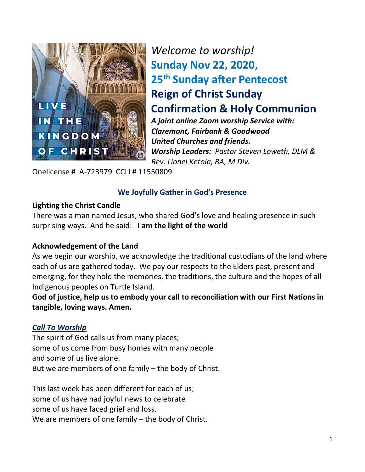

*Welcome to worship!* **Sunday Nov 22, 2020, 25 th Sunday after Pentecost Reign of Christ Sunday Confirmation & Holy Communion** *A joint online Zoom worship Service with: Claremont, Fairbank & Goodwood United Churches and friends. Worship Leaders: Pastor Steven Loweth, DLM & Rev. Lionel Ketola, BA, M Div.* 

Onelicense # A-723979 CCLI # 11550809

### **We Joyfully Gather in God's Presence**

#### **Lighting the Christ Candle**

There was a man named Jesus, who shared God's love and healing presence in such surprising ways. And he said: **I am the light of the world** 

#### **Acknowledgement of the Land**

As we begin our worship, we acknowledge the traditional custodians of the land where each of us are gathered today. We pay our respects to the Elders past, present and emerging, for they hold the memories, the traditions, the culture and the hopes of all Indigenous peoples on Turtle Island.

**God of justice, help us to embody your call to reconciliation with our First Nations in tangible, loving ways. Amen.** 

#### *Call To Worship*

The spirit of God calls us from many places; some of us come from busy homes with many people and some of us live alone. But we are members of one family – the body of Christ.

This last week has been different for each of us; some of us have had joyful news to celebrate some of us have faced grief and loss. We are members of one family – the body of Christ.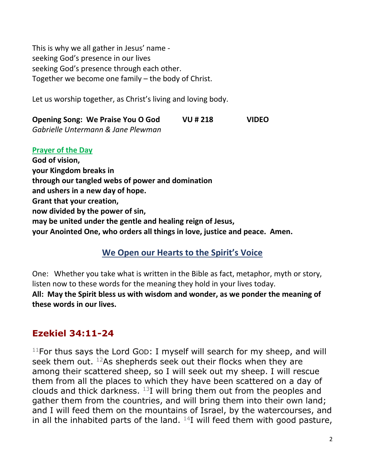This is why we all gather in Jesus' name seeking God's presence in our lives seeking God's presence through each other. Together we become one family – the body of Christ.

Let us worship together, as Christ's living and loving body.

**Opening Song: We Praise You O God VU # 218 VIDEO**  *Gabrielle Untermann & Jane Plewman* 

**Prayer of the Day God of vision, your Kingdom breaks in through our tangled webs of power and domination and ushers in a new day of hope. Grant that your creation, now divided by the power of sin, may be united under the gentle and healing reign of Jesus, your Anointed One, who orders all things in love, justice and peace. Amen.** 

## **We Open our Hearts to the Spirit's Voice**

One: Whether you take what is written in the Bible as fact, metaphor, myth or story, listen now to these words for the meaning they hold in your lives today.

**All: May the Spirit bless us with wisdom and wonder, as we ponder the meaning of these words in our lives.**

## **Ezekiel 34:11-24**

 $11$ For thus says the Lord God: I myself will search for my sheep, and will seek them out.  $12$ As shepherds seek out their flocks when they are among their scattered sheep, so I will seek out my sheep. I will rescue them from all the places to which they have been scattered on a day of clouds and thick darkness.  $13I$  will bring them out from the peoples and gather them from the countries, and will bring them into their own land; and I will feed them on the mountains of Israel, by the watercourses, and in all the inhabited parts of the land.  $^{14}$ I will feed them with good pasture,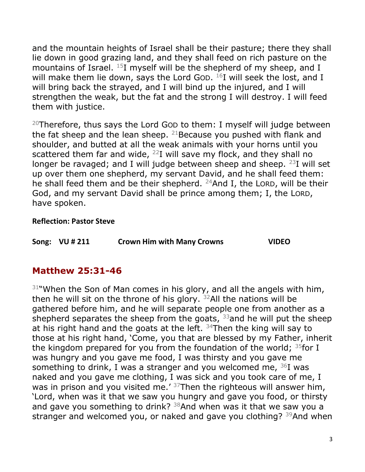and the mountain heights of Israel shall be their pasture; there they shall lie down in good grazing land, and they shall feed on rich pasture on the mountains of Israel. <sup>15</sup>I myself will be the shepherd of my sheep, and I will make them lie down, says the Lord Gop.  $^{16}$ I will seek the lost, and I will bring back the strayed, and I will bind up the injured, and I will strengthen the weak, but the fat and the strong I will destroy. I will feed them with justice.

<sup>20</sup>Therefore, thus says the Lord Gop to them: I myself will judge between the fat sheep and the lean sheep.  $21$  Because you pushed with flank and shoulder, and butted at all the weak animals with your horns until you scattered them far and wide,  $^{22}I$  will save my flock, and they shall no longer be ravaged; and I will judge between sheep and sheep.  $23I$  will set up over them one shepherd, my servant David, and he shall feed them: he shall feed them and be their shepherd. <sup>24</sup>And I, the LORD, will be their God, and my servant David shall be prince among them; I, the LORD, have spoken.

#### **Reflection: Pastor Steve**

|  | Song: VU # 211 | <b>Crown Him with Many Crowns</b> | <b>VIDEO</b> |
|--|----------------|-----------------------------------|--------------|
|--|----------------|-----------------------------------|--------------|

## **Matthew 25:31-46**

 $31$ "When the Son of Man comes in his glory, and all the angels with him, then he will sit on the throne of his glory.  $32$ All the nations will be gathered before him, and he will separate people one from another as a shepherd separates the sheep from the goats,  $33$  and he will put the sheep at his right hand and the goats at the left.  $34$ Then the king will say to those at his right hand, 'Come, you that are blessed by my Father, inherit the kingdom prepared for you from the foundation of the world;  $35$  for I was hungry and you gave me food, I was thirsty and you gave me something to drink, I was a stranger and you welcomed me,  $36I$  was naked and you gave me clothing, I was sick and you took care of me, I was in prison and you visited me.<sup> $\prime$  37</sup>Then the righteous will answer him, 'Lord, when was it that we saw you hungry and gave you food, or thirsty and gave you something to drink?  $38$ And when was it that we saw you a stranger and welcomed you, or naked and gave you clothing? <sup>39</sup>And when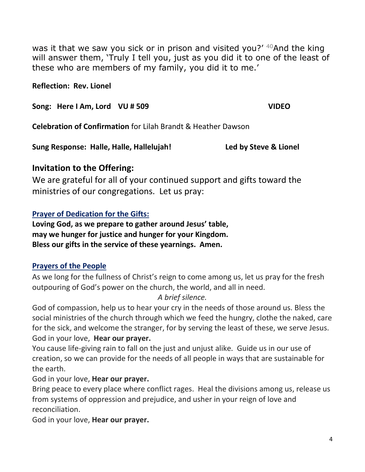was it that we saw you sick or in prison and visited you?' <sup>40</sup>And the king will answer them, 'Truly I tell you, just as you did it to one of the least of these who are members of my family, you did it to me.'

**Reflection: Rev. Lionel** 

**Song: Here I Am, Lord VU # 509 VIDEO** 

**Celebration of Confirmation** for Lilah Brandt & Heather Dawson

**Sung Response: Halle, Halle, Hallelujah! Led by Steve & Lionel** 

## **Invitation to the Offering:**

We are grateful for all of your continued support and gifts toward the ministries of our congregations. Let us pray:

## **Prayer of Dedication for the Gifts:**

**Loving God, as we prepare to gather around Jesus' table, may we hunger for justice and hunger for your Kingdom. Bless our gifts in the service of these yearnings. Amen.** 

## **Prayers of the People**

As we long for the fullness of Christ's reign to come among us, let us pray for the fresh outpouring of God's power on the church, the world, and all in need.

*A brief silence.* 

God of compassion, help us to hear your cry in the needs of those around us. Bless the social ministries of the church through which we feed the hungry, clothe the naked, care for the sick, and welcome the stranger, for by serving the least of these, we serve Jesus. God in your love, **Hear our prayer.** 

You cause life-giving rain to fall on the just and unjust alike. Guide us in our use of creation, so we can provide for the needs of all people in ways that are sustainable for the earth.

God in your love, **Hear our prayer.** 

Bring peace to every place where conflict rages. Heal the divisions among us, release us from systems of oppression and prejudice, and usher in your reign of love and reconciliation.

God in your love, **Hear our prayer.**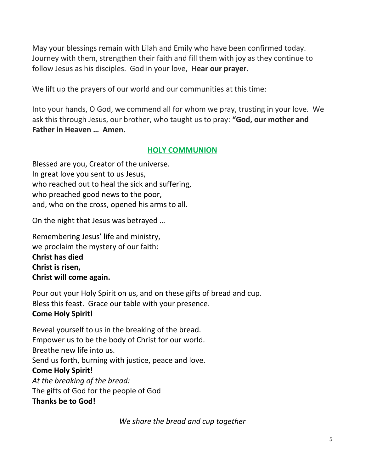May your blessings remain with Lilah and Emily who have been confirmed today. Journey with them, strengthen their faith and fill them with joy as they continue to follow Jesus as his disciples. God in your love, H**ear our prayer.** 

We lift up the prayers of our world and our communities at this time:

Into your hands, O God, we commend all for whom we pray, trusting in your love. We ask this through Jesus, our brother, who taught us to pray: **"God, our mother and Father in Heaven … Amen.** 

## **HOLY COMMUNION**

Blessed are you, Creator of the universe. In great love you sent to us Jesus, who reached out to heal the sick and suffering, who preached good news to the poor, and, who on the cross, opened his arms to all.

On the night that Jesus was betrayed …

Remembering Jesus' life and ministry, we proclaim the mystery of our faith: **Christ has died Christ is risen, Christ will come again.** 

Pour out your Holy Spirit on us, and on these gifts of bread and cup. Bless this feast. Grace our table with your presence. **Come Holy Spirit!** 

Reveal yourself to us in the breaking of the bread. Empower us to be the body of Christ for our world. Breathe new life into us. Send us forth, burning with justice, peace and love. **Come Holy Spirit!**  *At the breaking of the bread:*  The gifts of God for the people of God **Thanks be to God!** 

*We share the bread and cup together*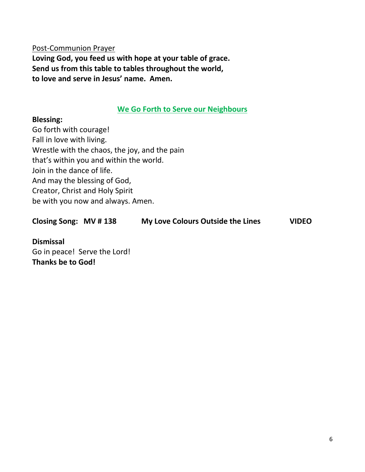Post-Communion Prayer **Loving God, you feed us with hope at your table of grace. Send us from this table to tables throughout the world, to love and serve in Jesus' name. Amen.** 

#### **We Go Forth to Serve our Neighbours**

#### **Blessing:**

Go forth with courage! Fall in love with living. Wrestle with the chaos, the joy, and the pain that's within you and within the world. Join in the dance of life. And may the blessing of God, Creator, Christ and Holy Spirit be with you now and always. Amen.

**Closing Song: MV # 138 My Love Colours Outside the Lines VIDEO** 

**Dismissal**  Go in peace! Serve the Lord! **Thanks be to God!**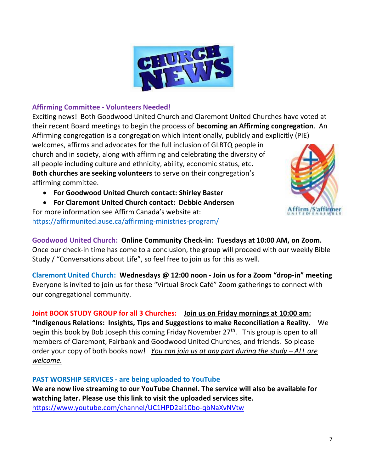

#### **Affirming Committee - Volunteers Needed!**

Exciting news! Both Goodwood United Church and Claremont United Churches have voted at their recent Board meetings to begin the process of **becoming an Affirming congregation**. An Affirming congregation is a congregation which intentionally, publicly and explicitly (PIE) welcomes, affirms and advocates for the full inclusion of GLBTQ people in church and in society, along with affirming and celebrating the diversity of all people including culture and ethnicity, ability, economic status, etc**. Both churches are seeking volunteers** to serve on their congregation's affirming committee.

• **For Goodwood United Church contact: Shirley Baster** 

• **For Claremont United Church contact: Debbie Andersen**  For more information see Affirm Canada's website at: <https://affirmunited.ause.ca/affirming-ministries-program/>



**Goodwood United Church: Online Community Check-in: Tuesdays at 10:00 AM, on Zoom.**  Once our check-in time has come to a conclusion, the group will proceed with our weekly Bible Study / "Conversations about Life", so feel free to join us for this as well.

**Claremont United Church: Wednesdays @ 12:00 noon - Join us for a Zoom "drop-in" meeting**  Everyone is invited to join us for these "Virtual Brock Café" Zoom gatherings to connect with our congregational community.

## **Joint BOOK STUDY GROUP for all 3 Churches: Join us on Friday mornings at 10:00 am:**

**"Indigenous Relations: Insights, Tips and Suggestions to make Reconciliation a Reality.** We begin this book by Bob Joseph this coming Friday November 27<sup>th</sup>. This group is open to all members of Claremont, Fairbank and Goodwood United Churches, and friends. So please order your copy of both books now! *You can join us at any part during the study – ALL are welcome.* 

#### **PAST WORSHIP SERVICES - are being uploaded to YouTube**

**We are now live streaming to our YouTube Channel. The service will also be available for watching later. Please use this link to visit the uploaded services site.**  [https://www.youtube.com/channel/UC1HPD2ai10bo-qbNaXvNVtw](about:blank)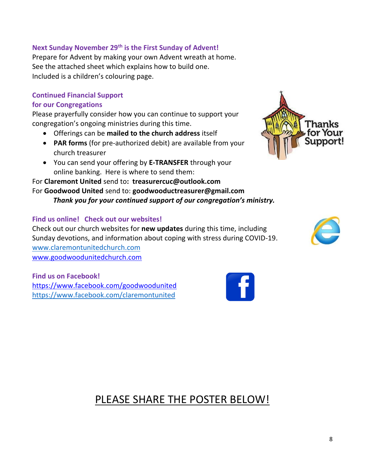#### **Next Sunday November 29th is the First Sunday of Advent!**

Prepare for Advent by making your own Advent wreath at home. See the attached sheet which explains how to build one. Included is a children's colouring page.

## **Continued Financial Support**

#### **for our Congregations**

Please prayerfully consider how you can continue to support your congregation's ongoing ministries during this time.

- Offerings can be **mailed to the church address** itself
- **PAR forms** (for pre-authorized debit) are available from your church treasurer
- You can send your offering by **E-TRANSFER** through your online banking. Here is where to send them:

#### For **Claremont United** send to**: treasurercuc@outlook.com** For **Goodwood United** send to: **[goodwooductreasurer@gmail.com](about:blank)** *Thank you for your continued support of our congregation's ministry.*

#### **Find us online! Check out our websites!**

Check out our church websites for **new updates** during this time, including Sunday devotions, and information about coping with stress during COVID-19. [www.claremontunitedchurch.com](about:blank) [www.goodwoodunitedchurch.com](about:blank)

**Find us on Facebook!**  [https://www.facebook.com/goodwoodunited](about:blank) [https://www.facebook.com/claremontunited](about:blank)

PLEASE SHARE THE POSTER BELOW!